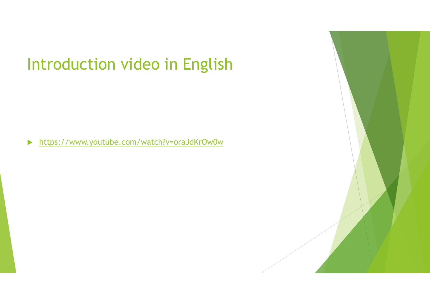▶ https://www.youtube.com/watch?v=oraJdKrOw0w

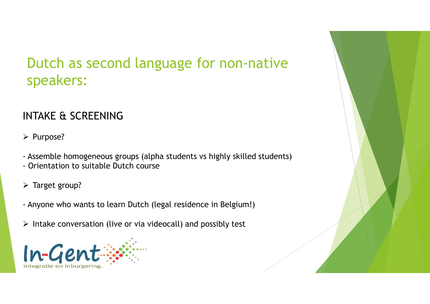## Dutch as second language for non-native<br>speakers: speakers: Dutch as second language for non-native<br>speakers:<br>INTAKE & SCREENING<br>> Purpose?<br>- Assemble homogeneous groups (alpha students vs highly skilled students)<br>- Orientation to suitable Dutch course<br>> Target group? Dutch as second language for non-nativ<br>
speakers:<br>
INTAKE & SCREENING<br>
> Purpose?<br>
- Assemble homogeneous groups (alpha students vs highly skilled studer<br>
- Orientation to suitable Dutch course<br>
> Target group? SPEAKETS:<br>
INTAKE & SCREENING<br>
≻ Purpose?<br>
- Assemble homogeneous groups (alpha students vs highly skilled students)<br>
- Orientation to suitable Dutch course<br>
→ Target group?<br>
- Anyone who wants to learn Dutch (legal resid

#### INTAKE & SCREENING

 $\triangleright$  Purpose?

- 
- 
- $\triangleright$  Target group?
- 
- 

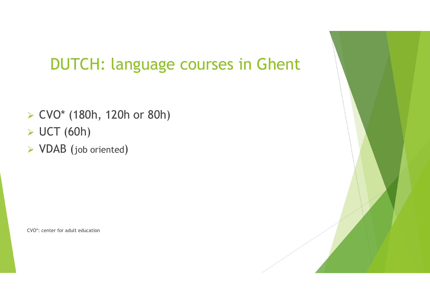- CVO\* (180h, 120h or 80h) → CVO\* (180h, 120h or 80h)<br>→ UCT (60h)<br>→ VDAB (job oriented)<br>
← CVO\*: center for adult education
- $\triangleright$  UCT (60h)
- VDAB (job oriented)

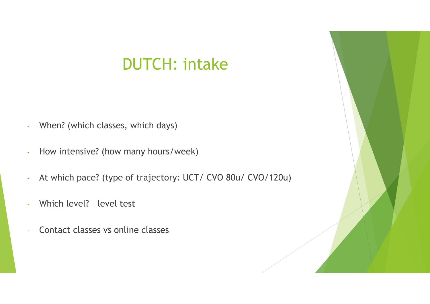### DUTCH: intake

- 
- 
- When? (which classes, which days)<br>- How intensive? (how many hours/week)<br>- At which pace? (type of trajectory: UCT/ CVO 80u/ CVO<br>- Which level? level test<br>- Contact classes vs online classes - When? (which classes, which days)<br>- How intensive? (how many hours/week)<br>- At which pace? (type of trajectory: UCT/ CVO 80u/ CVO/120<br>- Which level? - level test<br>- Contact classes vs online classes
- 
- 

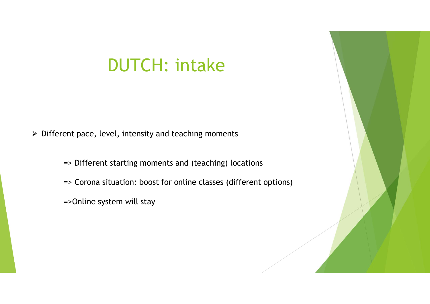## DUTCH: intake

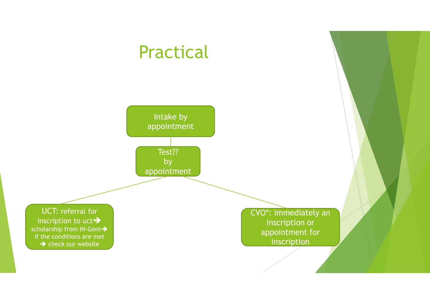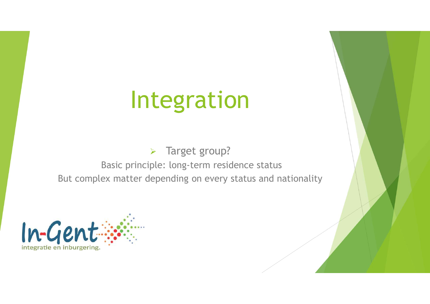## Integration

> Target group?

Integration<br>
> Target group?<br>
Basic principle: long-term residence status<br>
ex matter depending on every status and nationality Integration<br>
But complex matter depending on every status and nationality<br>
But complex matter depending on every status and nationality

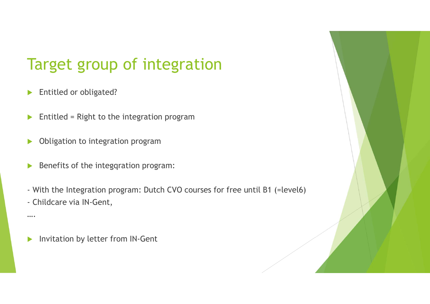# Target group of integration<br>► Entitled or obligated? Target group of integration<br>
Entitled or obligated?<br>
Entitled = Right to the integration program Target group of integration<br>
► Entitled or obligated?<br>
► Entitled = Right to the integration program<br>
► Obligation to integration program<br>
► Benefits of the integration program:

- 
- 
- 
- 
- → Entitled or obligated?<br>
→ Entitled = Right to the integration program<br>
→ Obligation to integration program:<br>
→ Benefits of the integration program:<br>
→ With the Integration program: Dutch CVO courses for free until B1 (=
- 

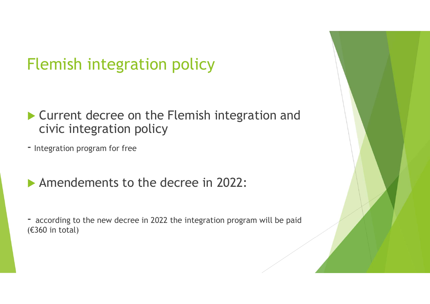- Flemish integration policy<br>
Current decree on the Flemish integration and<br>
civic integration policy<br>
 Integration program for free<br>
 Amondomonts to the docree in 2022:
- 
- 
- (€360 in total)

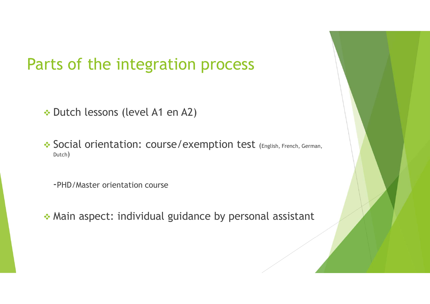# Parts of the integration process The integration process<br>
→ Dutch lessons (level A1 en A2)<br>
→ Social orientation: course/exemption test (English. Fre

Tts of the integration process<br>
\* Dutch lessons (level A1 en A2)<br>
\* Social orientation: course/exemption test (English, French, German,<br>
Dutch) Dutch) Es of the integration process<br>
Dutch lessons (level A1 en A2)<br>
Social orientation: course/exemption test (English, French, Gerr<br>
Dutch)<br>-PHD/Master orientation course<br>
Main aspect: individual guidance by personal assistant → Dutch lessons (level A1 en A2)<br>
→ Social orientation: course/exemption test (English, French, German,<br>
→ PHD/Master orientation course<br>
→ Main aspect: individual guidance by personal assistant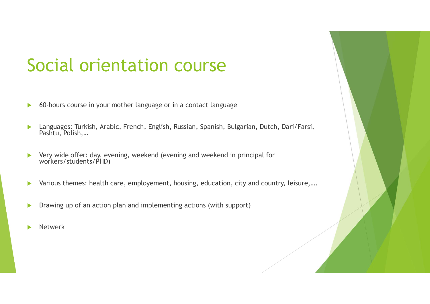# Social orientation course

- 
- Social orientation course<br>
60-hours course in your mother language or in a contact language<br> **Exanguages:** Turkish, Arabic, French, English, Russian, Spanish, Bulgarian, Dutch, Dari/Farsi,<br>Pashtu, Polish,... Languages: Turkish, Arabic, French, English, Russian, Spanish, Bulgarian, Dutch, Dari/Farsi, Pashtu, Polish,… Very wide offer: day, evening, weekend (evening and weekend in principal for vorkers/students/PHD)<br>
Very wide offer: day, evening, weekend (evening and weekend in principal for workers/students/PHD)<br>
very wide offer: day, Various themes: health care, employement, housing, education, city and country, leisure,….<br>
Vary wide offer: day, evening, weekend (evening and weekend in principal for<br>
Various themes: health care, employement, housing, DRAWIND CO-hours course in your mother language or in a contact language<br>
DRAMIN CO-hours course in your mother language or in a contact language<br>
DRAMIN Polish....<br>
DRAMIN Polish...<br>
DRAMIN POLICITY WARE CONSIDER THE VAL
- 
- 
- 
- Netwerk